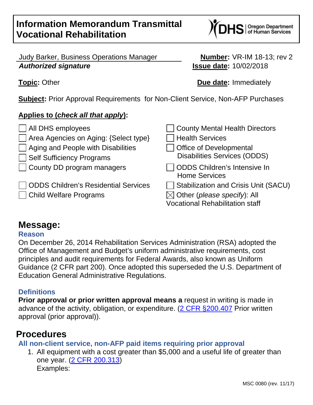Judy Barker, Business Operations Manager **Number:** VR-IM 18-13; rev 2 **Authorized signature Issue date:** 10/02/2018

**Subject:** Prior Approval Requirements for Non-Client Service, Non-AFP Purchases

## **Applies to (check all that apply):**

All DHS employees County Mental Health Directors Area Agencies on Aging: {Select type} Health Services  $\vert$  Aging and People with Disabilities  $\vert$   $\vert$  Office of Developmental Self Sufficiency Programs Disabilities Services (ODDS)  $\Box$  County DD program managers  $\Box$  ODDS Children's Intensive In Home Services  $\Box$  ODDS Children's Residential Services  $\Box$  Stabilization and Crisis Unit (SACU) Thild Welfare Programs  $\boxtimes$  Other (please specify): All Vocational Rehabilitation staff

# **Message:**

### **Reason**

On December 26, 2014 Rehabilitation Services Administration (RSA) adopted the Office of Management and Budget's uniform administrative requirements, cost principles and audit requirements for Federal Awards, also known as Uniform Guidance (2 CFR part 200). Once adopted this superseded the U.S. Department of Education General Administrative Regulations.

### **Definitions**

**Prior approval or prior written approval means a** request in writing is made in advance of the activity, obligation, or expenditure. (2 CFR §200.407 Prior written approval (prior approval)).

# **Procedures**

**All non-client service, non-AFP paid items requiring prior approval** 

1. All equipment with a cost greater than \$5,000 and a useful life of greater than one year. (2 CFR 200.313) Examples:

**Topic:** Other **Due date:** Immediately

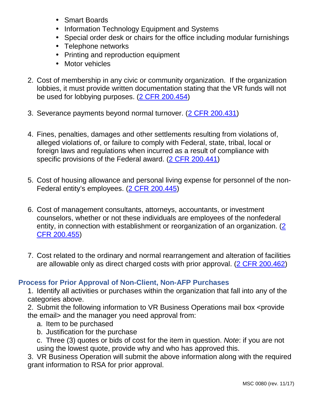- Smart Boards
- Information Technology Equipment and Systems
- Special order desk or chairs for the office including modular furnishings
- Telephone networks
- Printing and reproduction equipment
- Motor vehicles
- 2. Cost of membership in any civic or community organization. If the organization lobbies, it must provide written documentation stating that the VR funds will not be used for lobbying purposes. (2 CFR 200.454)
- 3. Severance payments beyond normal turnover. (2 CFR 200.431)
- 4. Fines, penalties, damages and other settlements resulting from violations of, alleged violations of, or failure to comply with Federal, state, tribal, local or foreign laws and regulations when incurred as a result of compliance with specific provisions of the Federal award. (2 CFR 200.441)
- 5. Cost of housing allowance and personal living expense for personnel of the non-Federal entity's employees. (2 CFR 200.445)
- 6. Cost of management consultants, attorneys, accountants, or investment counselors, whether or not these individuals are employees of the nonfederal entity, in connection with establishment or reorganization of an organization. (2 CFR 200.455)
- 7. Cost related to the ordinary and normal rearrangement and alteration of facilities are allowable only as direct charged costs with prior approval. (2 CFR 200.462)

## **Process for Prior Approval of Non-Client, Non-AFP Purchases**

1. Identify all activities or purchases within the organization that fall into any of the categories above.

2. Submit the following information to VR Business Operations mail box <provide the email> and the manager you need approval from:

- a. Item to be purchased
- b. Justification for the purchase
- c. Three (3) quotes or bids of cost for the item in question. Note: if you are not using the lowest quote, provide why and who has approved this.

3. VR Business Operation will submit the above information along with the required grant information to RSA for prior approval.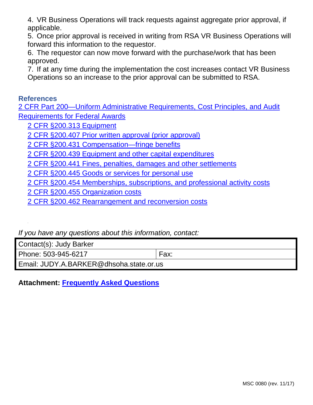4. VR Business Operations will track requests against aggregate prior approval, if applicable.

5. Once prior approval is received in writing from RSA VR Business Operations will forward this information to the requestor.

6. The requestor can now move forward with the purchase/work that has been approved.

7. If at any time during the implementation the cost increases contact VR Business Operations so an increase to the prior approval can be submitted to RSA.

#### **References**

2 CFR Part 200—Uniform Administrative Requirements, Cost Principles, and Audit Requirements for Federal Awards

2 CFR §200.313 Equipment

2 CFR §200.407 Prior written approval (prior approval)

2 CFR §200.431 Compensation—fringe benefits

2 CFR §200.439 Equipment and other capital expenditures

2 CFR §200.441 Fines, penalties, damages and other settlements

2 CFR §200.445 Goods or services for personal use

2 CFR §200.454 Memberships, subscriptions, and professional activity costs

2 CFR §200.455 Organization costs

2 CFR §200.462 Rearrangement and reconversion costs

If you have any questions about this information, contact:

Contact(s): Judy Barker

Phone: 503-945-6217 Fax:

Email: JUDY.A.BARKER@dhsoha.state.or.us

**Attachment: Frequently Asked Questions**